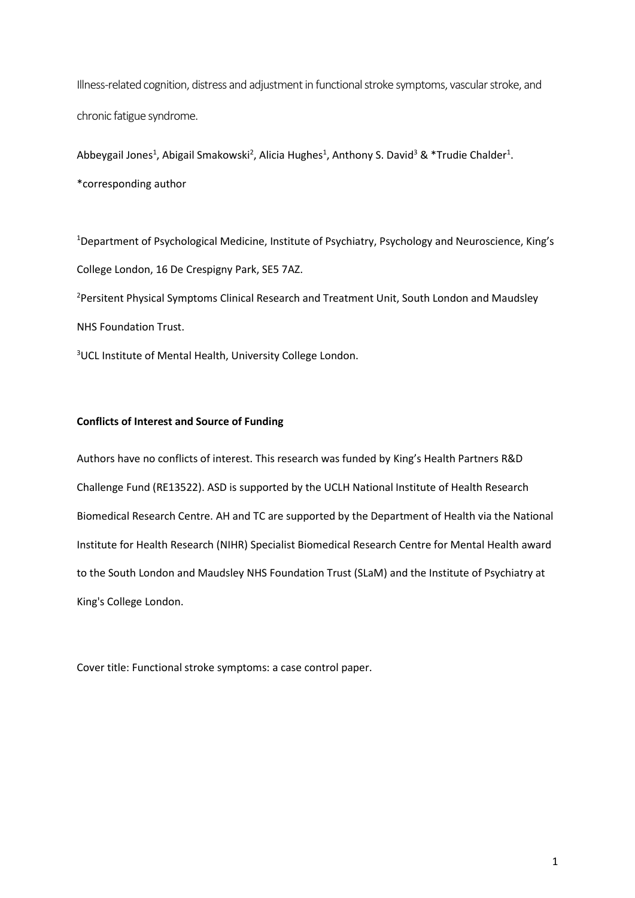Illness-related cognition, distress and adjustment in functional stroke symptoms, vascular stroke, and chronic fatigue syndrome.

Abbeygail Jones<sup>1</sup>, Abigail Smakowski<sup>2</sup>, Alicia Hughes<sup>1</sup>, Anthony S. David<sup>3</sup> & \*Trudie Chalder<sup>1</sup>. \*corresponding author

<sup>1</sup>Department of Psychological Medicine, Institute of Psychiatry, Psychology and Neuroscience, King's College London, 16 De Crespigny Park, SE5 7AZ.

<sup>2</sup>Persitent Physical Symptoms Clinical Research and Treatment Unit, South London and Maudsley NHS Foundation Trust.

<sup>3</sup>UCL Institute of Mental Health, University College London.

# **Conflicts of Interest and Source of Funding**

Authors have no conflicts of interest. This research was funded by King's Health Partners R&D Challenge Fund (RE13522). ASD is supported by the UCLH National Institute of Health Research Biomedical Research Centre. AH and TC are supported by the Department of Health via the National Institute for Health Research (NIHR) Specialist Biomedical Research Centre for Mental Health award to the South London and Maudsley NHS Foundation Trust (SLaM) and the Institute of Psychiatry at King's College London.

Cover title: Functional stroke symptoms: a case control paper.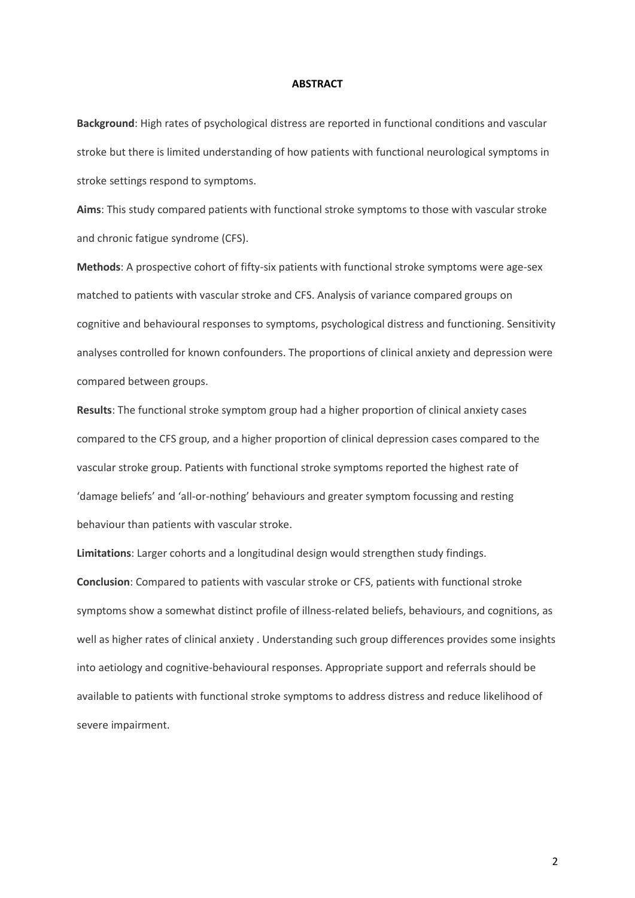#### **ABSTRACT**

**Background**: High rates of psychological distress are reported in functional conditions and vascular stroke but there is limited understanding of how patients with functional neurological symptoms in stroke settings respond to symptoms.

**Aims**: This study compared patients with functional stroke symptoms to those with vascular stroke and chronic fatigue syndrome (CFS).

**Methods**: A prospective cohort of fifty-six patients with functional stroke symptoms were age-sex matched to patients with vascular stroke and CFS. Analysis of variance compared groups on cognitive and behavioural responses to symptoms, psychological distress and functioning. Sensitivity analyses controlled for known confounders. The proportions of clinical anxiety and depression were compared between groups.

**Results**: The functional stroke symptom group had a higher proportion of clinical anxiety cases compared to the CFS group, and a higher proportion of clinical depression cases compared to the vascular stroke group. Patients with functional stroke symptoms reported the highest rate of 'damage beliefs' and 'all-or-nothing' behaviours and greater symptom focussing and resting behaviour than patients with vascular stroke.

**Limitations**: Larger cohorts and a longitudinal design would strengthen study findings. **Conclusion**: Compared to patients with vascular stroke or CFS, patients with functional stroke symptoms show a somewhat distinct profile of illness-related beliefs, behaviours, and cognitions, as well as higher rates of clinical anxiety . Understanding such group differences provides some insights into aetiology and cognitive-behavioural responses. Appropriate support and referrals should be available to patients with functional stroke symptoms to address distress and reduce likelihood of severe impairment.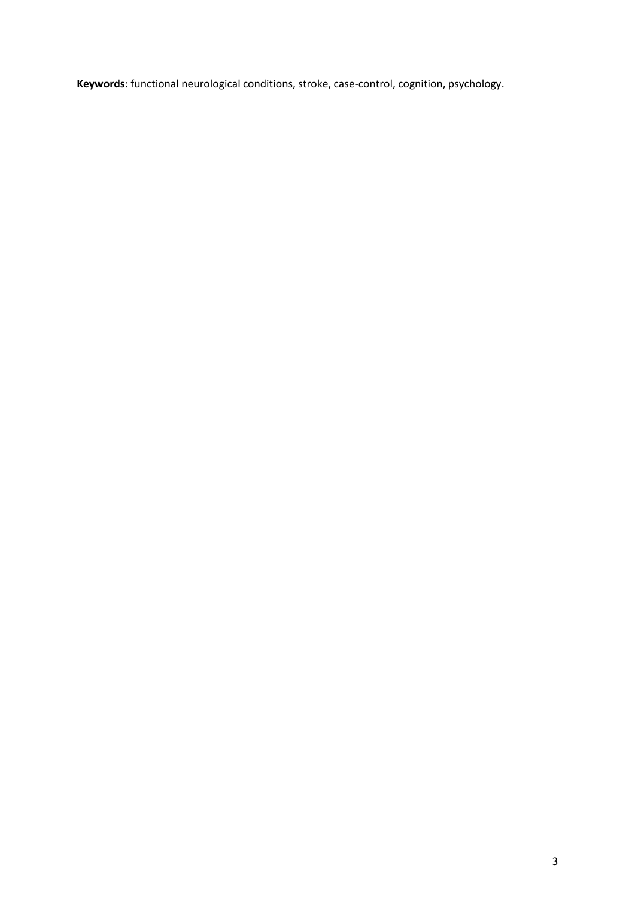**Keywords**: functional neurological conditions, stroke, case-control, cognition, psychology.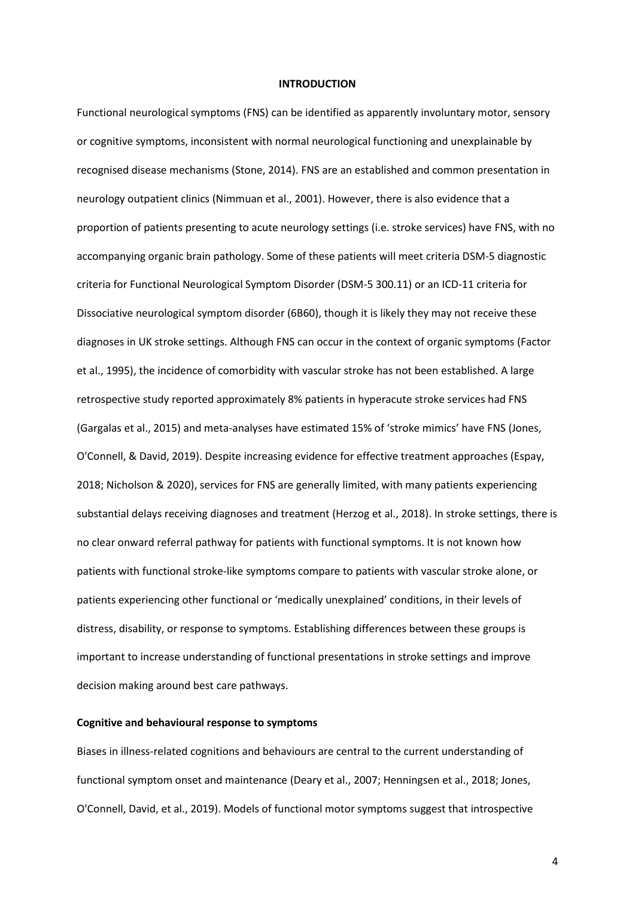#### **INTRODUCTION**

Functional neurological symptoms (FNS) can be identified as apparently involuntary motor, sensory or cognitive symptoms, inconsistent with normal neurological functioning and unexplainable by recognised disease mechanisms (Stone, 2014). FNS are an established and common presentation in neurology outpatient clinics (Nimmuan et al., 2001). However, there is also evidence that a proportion of patients presenting to acute neurology settings (i.e. stroke services) have FNS, with no accompanying organic brain pathology. Some of these patients will meet criteria DSM-5 diagnostic criteria for Functional Neurological Symptom Disorder (DSM-5 300.11) or an ICD-11 criteria for Dissociative neurological symptom disorder (6B60), though it is likely they may not receive these diagnoses in UK stroke settings. Although FNS can occur in the context of organic symptoms (Factor et al., 1995), the incidence of comorbidity with vascular stroke has not been established. A large retrospective study reported approximately 8% patients in hyperacute stroke services had FNS (Gargalas et al., 2015) and meta-analyses have estimated 15% of 'stroke mimics' have FNS (Jones, O'Connell, & David, 2019). Despite increasing evidence for effective treatment approaches (Espay, 2018; Nicholson & 2020), services for FNS are generally limited, with many patients experiencing substantial delays receiving diagnoses and treatment (Herzog et al., 2018). In stroke settings, there is no clear onward referral pathway for patients with functional symptoms. It is not known how patients with functional stroke-like symptoms compare to patients with vascular stroke alone, or patients experiencing other functional or 'medically unexplained' conditions, in their levels of distress, disability, or response to symptoms. Establishing differences between these groups is important to increase understanding of functional presentations in stroke settings and improve decision making around best care pathways.

#### **Cognitive and behavioural response to symptoms**

Biases in illness-related cognitions and behaviours are central to the current understanding of functional symptom onset and maintenance (Deary et al., 2007; Henningsen et al., 2018; Jones, O'Connell, David, et al., 2019). Models of functional motor symptoms suggest that introspective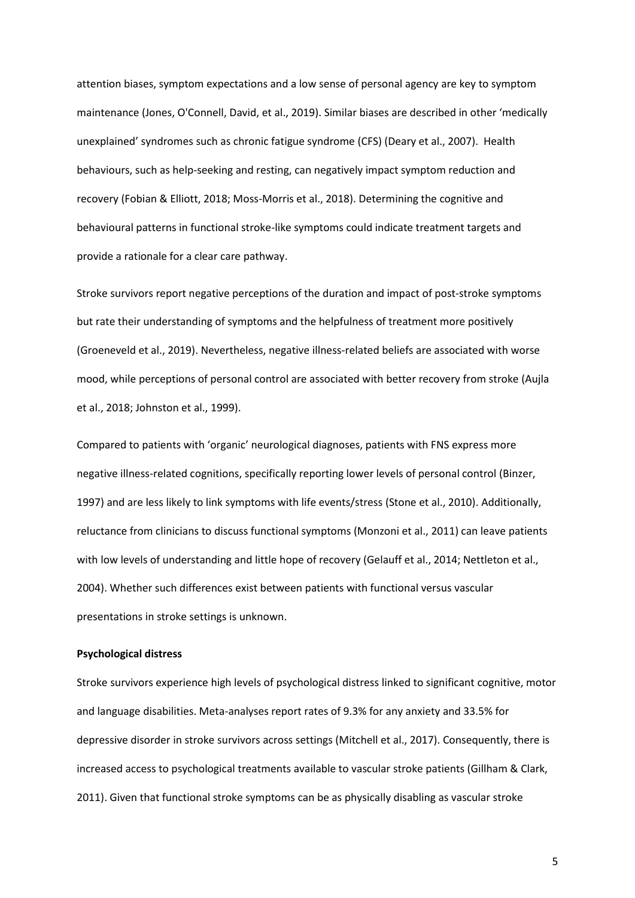attention biases, symptom expectations and a low sense of personal agency are key to symptom maintenance (Jones, O'Connell, David, et al., 2019). Similar biases are described in other 'medically unexplained' syndromes such as chronic fatigue syndrome (CFS) (Deary et al., 2007). Health behaviours, such as help-seeking and resting, can negatively impact symptom reduction and recovery (Fobian & Elliott, 2018; Moss-Morris et al., 2018). Determining the cognitive and behavioural patterns in functional stroke-like symptoms could indicate treatment targets and provide a rationale for a clear care pathway.

Stroke survivors report negative perceptions of the duration and impact of post-stroke symptoms but rate their understanding of symptoms and the helpfulness of treatment more positively (Groeneveld et al., 2019). Nevertheless, negative illness-related beliefs are associated with worse mood, while perceptions of personal control are associated with better recovery from stroke (Aujla et al., 2018; Johnston et al., 1999).

Compared to patients with 'organic' neurological diagnoses, patients with FNS express more negative illness-related cognitions, specifically reporting lower levels of personal control (Binzer, 1997) and are less likely to link symptoms with life events/stress (Stone et al., 2010). Additionally, reluctance from clinicians to discuss functional symptoms (Monzoni et al., 2011) can leave patients with low levels of understanding and little hope of recovery (Gelauff et al., 2014; Nettleton et al., 2004). Whether such differences exist between patients with functional versus vascular presentations in stroke settings is unknown.

# **Psychological distress**

Stroke survivors experience high levels of psychological distress linked to significant cognitive, motor and language disabilities. Meta-analyses report rates of 9.3% for any anxiety and 33.5% for depressive disorder in stroke survivors across settings (Mitchell et al., 2017). Consequently, there is increased access to psychological treatments available to vascular stroke patients (Gillham & Clark, 2011). Given that functional stroke symptoms can be as physically disabling as vascular stroke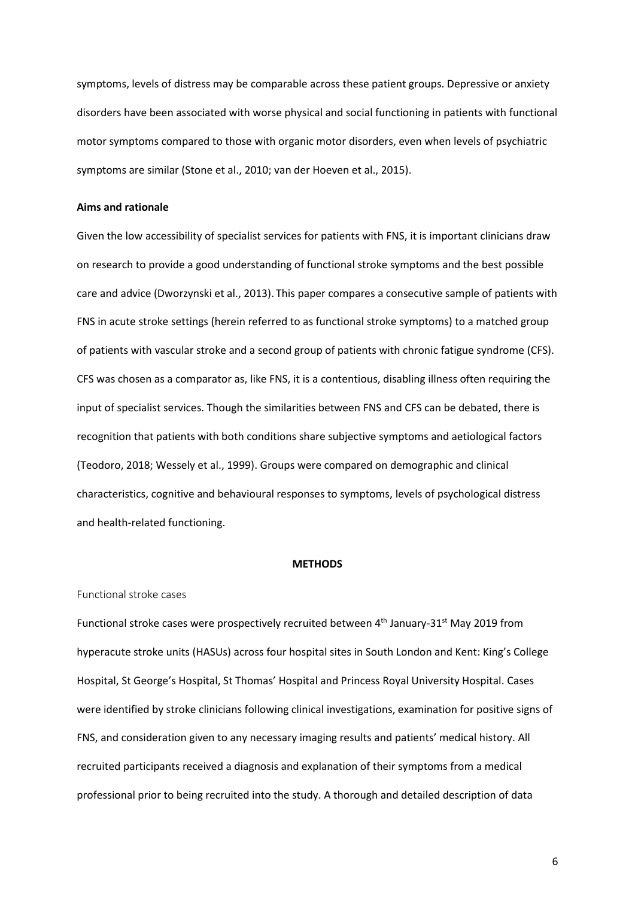symptoms, levels of distress may be comparable across these patient groups. Depressive or anxiety disorders have been associated with worse physical and social functioning in patients with functional motor symptoms compared to those with organic motor disorders, even when levels of psychiatric symptoms are similar (Stone et al., 2010; van der Hoeven et al., 2015).

# **Aims and rationale**

Given the low accessibility of specialist services for patients with FNS, it is important clinicians draw on research to provide a good understanding of functional stroke symptoms and the best possible care and advice (Dworzynski et al., 2013). This paper compares a consecutive sample of patients with FNS in acute stroke settings (herein referred to as functional stroke symptoms) to a matched group of patients with vascular stroke and a second group of patients with chronic fatigue syndrome (CFS). CFS was chosen as a comparator as, like FNS, it is a contentious, disabling illness often requiring the input of specialist services. Though the similarities between FNS and CFS can be debated, there is recognition that patients with both conditions share subjective symptoms and aetiological factors (Teodoro, 2018; Wessely et al., 1999). Groups were compared on demographic and clinical characteristics, cognitive and behavioural responses to symptoms, levels of psychological distress and health-related functioning.

#### **METHODS**

#### Functional stroke cases

Functional stroke cases were prospectively recruited between 4<sup>th</sup> January-31<sup>st</sup> May 2019 from hyperacute stroke units (HASUs) across four hospital sites in South London and Kent: King's College Hospital, St George's Hospital, St Thomas' Hospital and Princess Royal University Hospital. Cases were identified by stroke clinicians following clinical investigations, examination for positive signs of FNS, and consideration given to any necessary imaging results and patients' medical history. All recruited participants received a diagnosis and explanation of their symptoms from a medical professional prior to being recruited into the study. A thorough and detailed description of data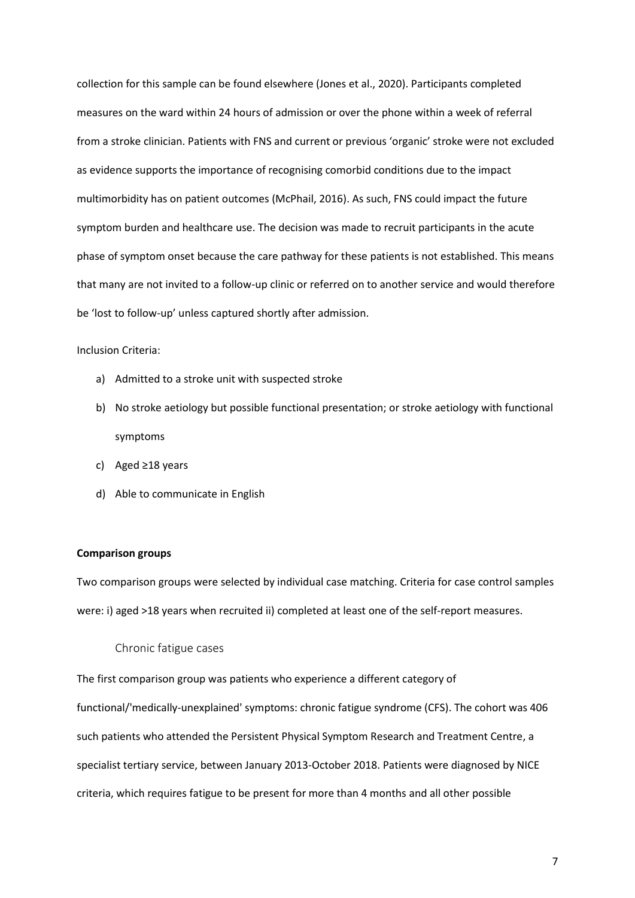collection for this sample can be found elsewhere (Jones et al., 2020). Participants completed measures on the ward within 24 hours of admission or over the phone within a week of referral from a stroke clinician. Patients with FNS and current or previous 'organic' stroke were not excluded as evidence supports the importance of recognising comorbid conditions due to the impact multimorbidity has on patient outcomes (McPhail, 2016). As such, FNS could impact the future symptom burden and healthcare use. The decision was made to recruit participants in the acute phase of symptom onset because the care pathway for these patients is not established. This means that many are not invited to a follow-up clinic or referred on to another service and would therefore be 'lost to follow-up' unless captured shortly after admission.

## Inclusion Criteria:

- a) Admitted to a stroke unit with suspected stroke
- b) No stroke aetiology but possible functional presentation; or stroke aetiology with functional symptoms
- c) Aged ≥18 years
- d) Able to communicate in English

# **Comparison groups**

Two comparison groups were selected by individual case matching. Criteria for case control samples were: i) aged >18 years when recruited ii) completed at least one of the self-report measures.

## Chronic fatigue cases

The first comparison group was patients who experience a different category of functional/'medically-unexplained' symptoms: chronic fatigue syndrome (CFS). The cohort was 406 such patients who attended the Persistent Physical Symptom Research and Treatment Centre, a specialist tertiary service, between January 2013-October 2018. Patients were diagnosed by NICE criteria, which requires fatigue to be present for more than 4 months and all other possible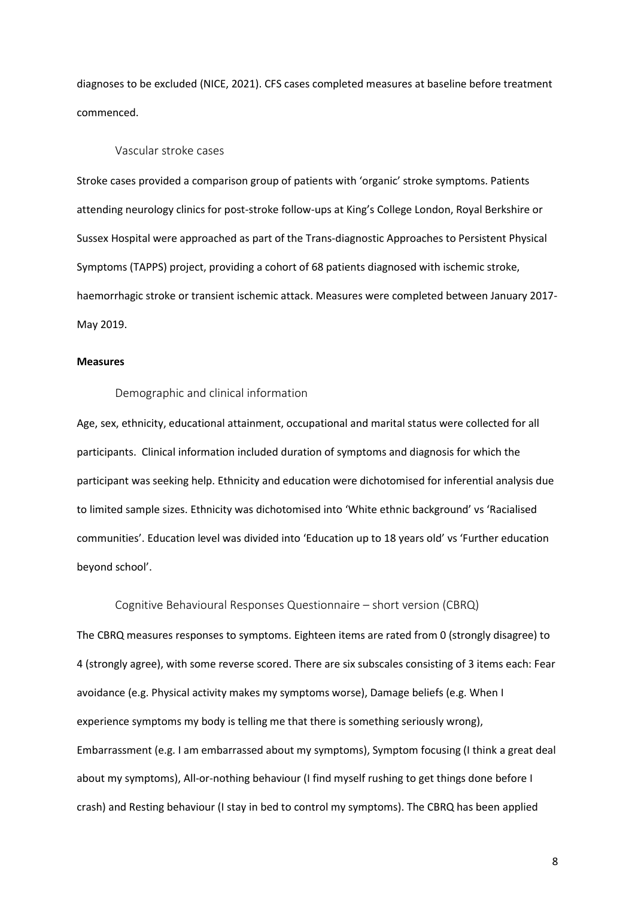diagnoses to be excluded (NICE, 2021). CFS cases completed measures at baseline before treatment commenced.

# Vascular stroke cases

Stroke cases provided a comparison group of patients with 'organic' stroke symptoms. Patients attending neurology clinics for post-stroke follow-ups at King's College London, Royal Berkshire or Sussex Hospital were approached as part of the Trans-diagnostic Approaches to Persistent Physical Symptoms (TAPPS) project, providing a cohort of 68 patients diagnosed with ischemic stroke, haemorrhagic stroke or transient ischemic attack. Measures were completed between January 2017- May 2019.

#### **Measures**

# Demographic and clinical information

Age, sex, ethnicity, educational attainment, occupational and marital status were collected for all participants. Clinical information included duration of symptoms and diagnosis for which the participant was seeking help. Ethnicity and education were dichotomised for inferential analysis due to limited sample sizes. Ethnicity was dichotomised into 'White ethnic background' vs 'Racialised communities'. Education level was divided into 'Education up to 18 years old' vs 'Further education beyond school'.

Cognitive Behavioural Responses Questionnaire – short version (CBRQ) The CBRQ measures responses to symptoms. Eighteen items are rated from 0 (strongly disagree) to 4 (strongly agree), with some reverse scored. There are six subscales consisting of 3 items each: Fear avoidance (e.g. Physical activity makes my symptoms worse), Damage beliefs (e.g. When I experience symptoms my body is telling me that there is something seriously wrong), Embarrassment (e.g. I am embarrassed about my symptoms), Symptom focusing (I think a great deal about my symptoms), All-or-nothing behaviour (I find myself rushing to get things done before I crash) and Resting behaviour (I stay in bed to control my symptoms). The CBRQ has been applied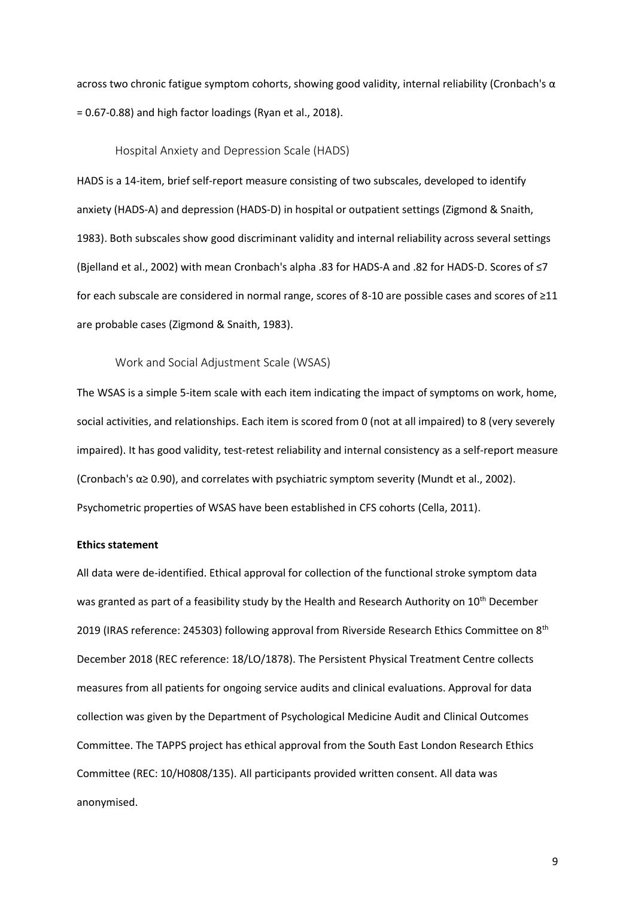across two chronic fatigue symptom cohorts, showing good validity, internal reliability (Cronbach's  $\alpha$ = 0.67-0.88) and high factor loadings (Ryan et al., 2018).

Hospital Anxiety and Depression Scale (HADS)

HADS is a 14-item, brief self-report measure consisting of two subscales, developed to identify anxiety (HADS-A) and depression (HADS-D) in hospital or outpatient settings (Zigmond & Snaith, 1983). Both subscales show good discriminant validity and internal reliability across several settings (Bjelland et al., 2002) with mean Cronbach's alpha .83 for HADS-A and .82 for HADS-D. Scores of ≤7 for each subscale are considered in normal range, scores of 8-10 are possible cases and scores of ≥11 are probable cases (Zigmond & Snaith, 1983).

Work and Social Adjustment Scale (WSAS)

The WSAS is a simple 5-item scale with each item indicating the impact of symptoms on work, home, social activities, and relationships. Each item is scored from 0 (not at all impaired) to 8 (very severely impaired). It has good validity, test-retest reliability and internal consistency as a self-report measure (Cronbach's α≥ 0.90), and correlates with psychiatric symptom severity (Mundt et al., 2002). Psychometric properties of WSAS have been established in CFS cohorts (Cella, 2011).

## **Ethics statement**

All data were de-identified. Ethical approval for collection of the functional stroke symptom data was granted as part of a feasibility study by the Health and Research Authority on 10<sup>th</sup> December 2019 (IRAS reference: 245303) following approval from Riverside Research Ethics Committee on 8<sup>th</sup> December 2018 (REC reference: 18/LO/1878). The Persistent Physical Treatment Centre collects measures from all patients for ongoing service audits and clinical evaluations. Approval for data collection was given by the Department of Psychological Medicine Audit and Clinical Outcomes Committee. The TAPPS project has ethical approval from the South East London Research Ethics Committee (REC: 10/H0808/135). All participants provided written consent. All data was anonymised.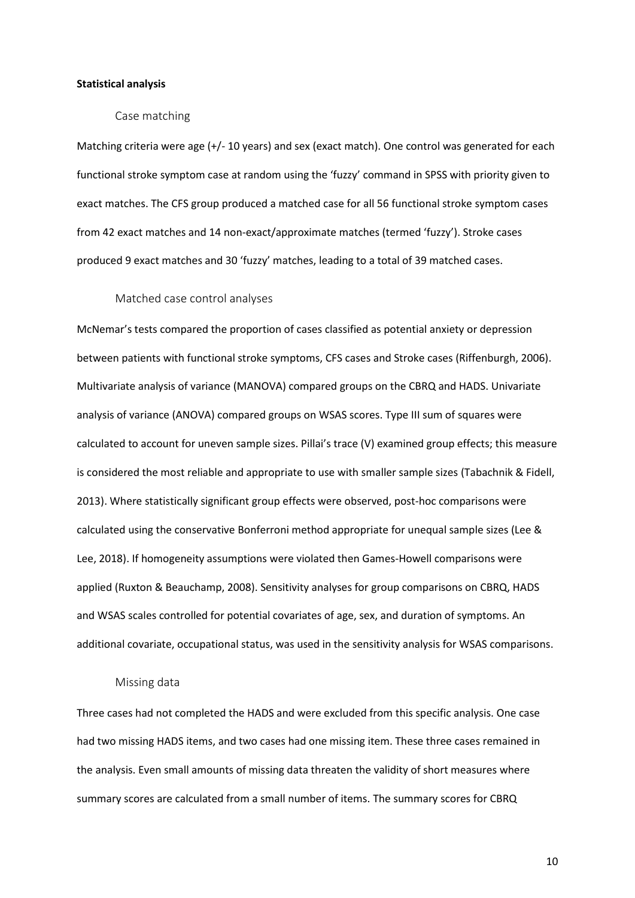### **Statistical analysis**

## Case matching

Matching criteria were age (+/- 10 years) and sex (exact match). One control was generated for each functional stroke symptom case at random using the 'fuzzy' command in SPSS with priority given to exact matches. The CFS group produced a matched case for all 56 functional stroke symptom cases from 42 exact matches and 14 non-exact/approximate matches (termed 'fuzzy'). Stroke cases produced 9 exact matches and 30 'fuzzy' matches, leading to a total of 39 matched cases.

### Matched case control analyses

McNemar's tests compared the proportion of cases classified as potential anxiety or depression between patients with functional stroke symptoms, CFS cases and Stroke cases (Riffenburgh, 2006). Multivariate analysis of variance (MANOVA) compared groups on the CBRQ and HADS. Univariate analysis of variance (ANOVA) compared groups on WSAS scores. Type III sum of squares were calculated to account for uneven sample sizes. Pillai's trace (V) examined group effects; this measure is considered the most reliable and appropriate to use with smaller sample sizes (Tabachnik & Fidell, 2013). Where statistically significant group effects were observed, post-hoc comparisons were calculated using the conservative Bonferroni method appropriate for unequal sample sizes (Lee & Lee, 2018). If homogeneity assumptions were violated then Games-Howell comparisons were applied (Ruxton & Beauchamp, 2008). Sensitivity analyses for group comparisons on CBRQ, HADS and WSAS scales controlled for potential covariates of age, sex, and duration of symptoms. An additional covariate, occupational status, was used in the sensitivity analysis for WSAS comparisons.

#### Missing data

Three cases had not completed the HADS and were excluded from this specific analysis. One case had two missing HADS items, and two cases had one missing item. These three cases remained in the analysis. Even small amounts of missing data threaten the validity of short measures where summary scores are calculated from a small number of items. The summary scores for CBRQ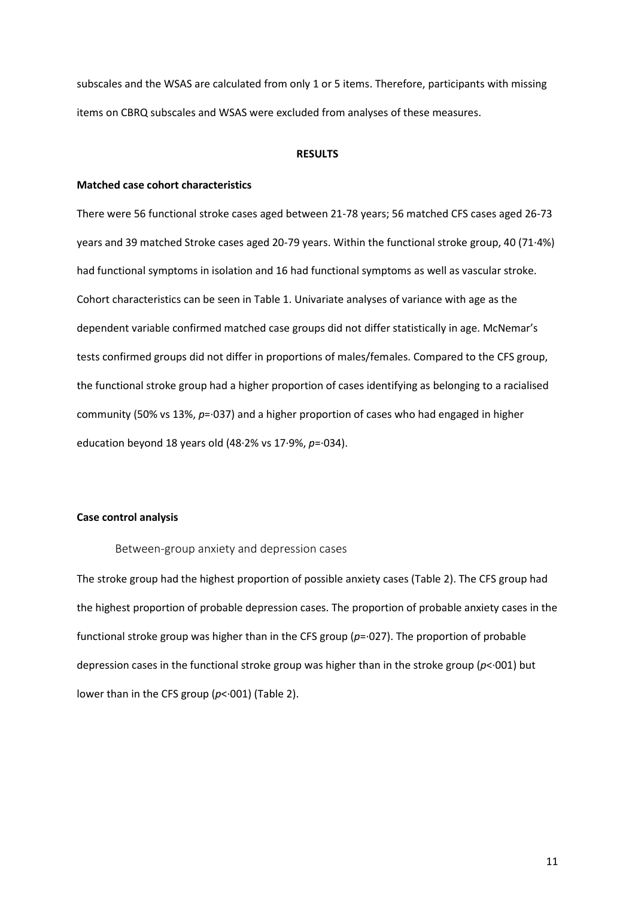subscales and the WSAS are calculated from only 1 or 5 items. Therefore, participants with missing items on CBRQ subscales and WSAS were excluded from analyses of these measures.

#### **RESULTS**

#### **Matched case cohort characteristics**

There were 56 functional stroke cases aged between 21-78 years; 56 matched CFS cases aged 26-73 years and 39 matched Stroke cases aged 20-79 years. Within the functional stroke group, 40 (71∙4%) had functional symptoms in isolation and 16 had functional symptoms as well as vascular stroke. Cohort characteristics can be seen in Table 1. Univariate analyses of variance with age as the dependent variable confirmed matched case groups did not differ statistically in age. McNemar's tests confirmed groups did not differ in proportions of males/females. Compared to the CFS group, the functional stroke group had a higher proportion of cases identifying as belonging to a racialised community (50% vs 13%, *p*=∙037) and a higher proportion of cases who had engaged in higher education beyond 18 years old (48∙2% vs 17∙9%, *p*=∙034).

# **Case control analysis**

Between-group anxiety and depression cases

The stroke group had the highest proportion of possible anxiety cases (Table 2). The CFS group had the highest proportion of probable depression cases. The proportion of probable anxiety cases in the functional stroke group was higher than in the CFS group (*p*=∙027). The proportion of probable depression cases in the functional stroke group was higher than in the stroke group (*p*<∙001) but lower than in the CFS group (*p*<∙001) (Table 2).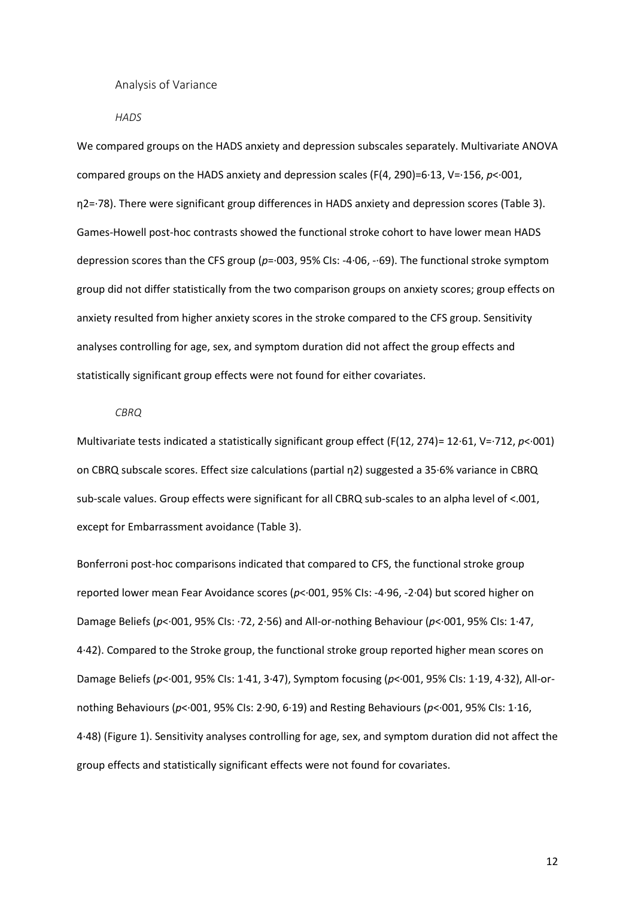Analysis of Variance

*HADS*

We compared groups on the HADS anxiety and depression subscales separately. Multivariate ANOVA compared groups on the HADS anxiety and depression scales (F(4, 290)=6∙13, V=∙156, *p*<∙001, η2=∙78). There were significant group differences in HADS anxiety and depression scores (Table 3). Games-Howell post-hoc contrasts showed the functional stroke cohort to have lower mean HADS depression scores than the CFS group (*p*=∙003, 95% CIs: -4∙06, -∙69). The functional stroke symptom group did not differ statistically from the two comparison groups on anxiety scores; group effects on anxiety resulted from higher anxiety scores in the stroke compared to the CFS group. Sensitivity analyses controlling for age, sex, and symptom duration did not affect the group effects and statistically significant group effects were not found for either covariates.

#### *CBRQ*

Multivariate tests indicated a statistically significant group effect (F(12, 274)= 12∙61, V=∙712, *p*<∙001) on CBRQ subscale scores. Effect size calculations (partial η2) suggested a 35∙6% variance in CBRQ sub-scale values. Group effects were significant for all CBRQ sub-scales to an alpha level of <.001, except for Embarrassment avoidance (Table 3).

Bonferroni post-hoc comparisons indicated that compared to CFS, the functional stroke group reported lower mean Fear Avoidance scores (*p*<∙001, 95% CIs: -4∙96, -2∙04) but scored higher on Damage Beliefs (*p*<∙001, 95% CIs: ∙72, 2∙56) and All-or-nothing Behaviour (*p*<∙001, 95% CIs: 1∙47, 4∙42). Compared to the Stroke group, the functional stroke group reported higher mean scores on Damage Beliefs (*p*<∙001, 95% CIs: 1∙41, 3∙47), Symptom focusing (*p*<∙001, 95% CIs: 1∙19, 4∙32), All-ornothing Behaviours (*p*<∙001, 95% CIs: 2∙90, 6∙19) and Resting Behaviours (*p*<∙001, 95% CIs: 1∙16, 4∙48) (Figure 1). Sensitivity analyses controlling for age, sex, and symptom duration did not affect the group effects and statistically significant effects were not found for covariates.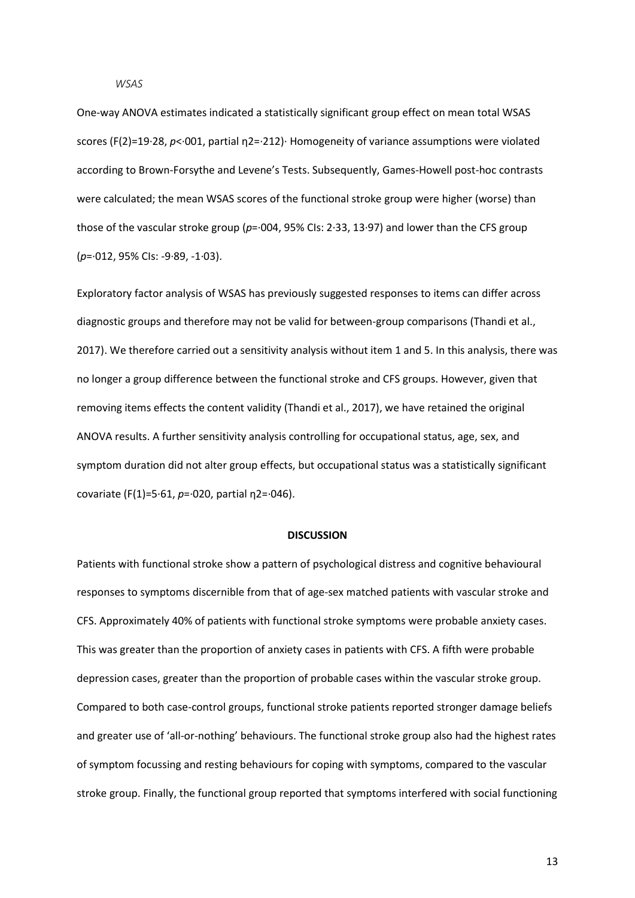#### *WSAS*

One-way ANOVA estimates indicated a statistically significant group effect on mean total WSAS scores (F(2)=19⋅28, *p*<⋅001, partial η2=⋅212)⋅ Homogeneity of variance assumptions were violated according to Brown-Forsythe and Levene's Tests. Subsequently, Games-Howell post-hoc contrasts were calculated; the mean WSAS scores of the functional stroke group were higher (worse) than those of the vascular stroke group (*p*=⋅004, 95% CIs: 2⋅33, 13⋅97) and lower than the CFS group (*p*=∙012, 95% CIs: -9∙89, -1∙03).

Exploratory factor analysis of WSAS has previously suggested responses to items can differ across diagnostic groups and therefore may not be valid for between-group comparisons (Thandi et al., 2017). We therefore carried out a sensitivity analysis without item 1 and 5. In this analysis, there was no longer a group difference between the functional stroke and CFS groups. However, given that removing items effects the content validity (Thandi et al., 2017), we have retained the original ANOVA results. A further sensitivity analysis controlling for occupational status, age, sex, and symptom duration did not alter group effects, but occupational status was a statistically significant covariate (F(1)=5∙61, *p*=∙020, partial η2=∙046).

#### **DISCUSSION**

Patients with functional stroke show a pattern of psychological distress and cognitive behavioural responses to symptoms discernible from that of age-sex matched patients with vascular stroke and CFS. Approximately 40% of patients with functional stroke symptoms were probable anxiety cases. This was greater than the proportion of anxiety cases in patients with CFS. A fifth were probable depression cases, greater than the proportion of probable cases within the vascular stroke group. Compared to both case-control groups, functional stroke patients reported stronger damage beliefs and greater use of 'all-or-nothing' behaviours. The functional stroke group also had the highest rates of symptom focussing and resting behaviours for coping with symptoms, compared to the vascular stroke group. Finally, the functional group reported that symptoms interfered with social functioning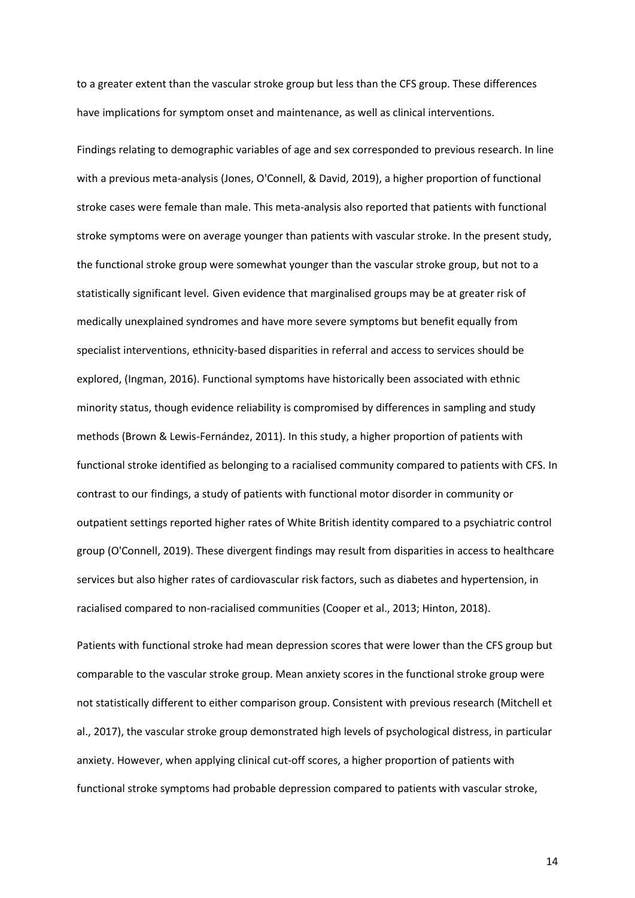to a greater extent than the vascular stroke group but less than the CFS group. These differences have implications for symptom onset and maintenance, as well as clinical interventions.

Findings relating to demographic variables of age and sex corresponded to previous research. In line with a previous meta-analysis (Jones, O'Connell, & David, 2019), a higher proportion of functional stroke cases were female than male. This meta-analysis also reported that patients with functional stroke symptoms were on average younger than patients with vascular stroke. In the present study, the functional stroke group were somewhat younger than the vascular stroke group, but not to a statistically significant level. Given evidence that marginalised groups may be at greater risk of medically unexplained syndromes and have more severe symptoms but benefit equally from specialist interventions, ethnicity-based disparities in referral and access to services should be explored, (Ingman, 2016). Functional symptoms have historically been associated with ethnic minority status, though evidence reliability is compromised by differences in sampling and study methods (Brown & Lewis-Fernández, 2011). In this study, a higher proportion of patients with functional stroke identified as belonging to a racialised community compared to patients with CFS. In contrast to our findings, a study of patients with functional motor disorder in community or outpatient settings reported higher rates of White British identity compared to a psychiatric control group (O'Connell, 2019). These divergent findings may result from disparities in access to healthcare services but also higher rates of cardiovascular risk factors, such as diabetes and hypertension, in racialised compared to non-racialised communities (Cooper et al., 2013; Hinton, 2018).

Patients with functional stroke had mean depression scores that were lower than the CFS group but comparable to the vascular stroke group. Mean anxiety scores in the functional stroke group were not statistically different to either comparison group. Consistent with previous research (Mitchell et al., 2017), the vascular stroke group demonstrated high levels of psychological distress, in particular anxiety. However, when applying clinical cut-off scores, a higher proportion of patients with functional stroke symptoms had probable depression compared to patients with vascular stroke,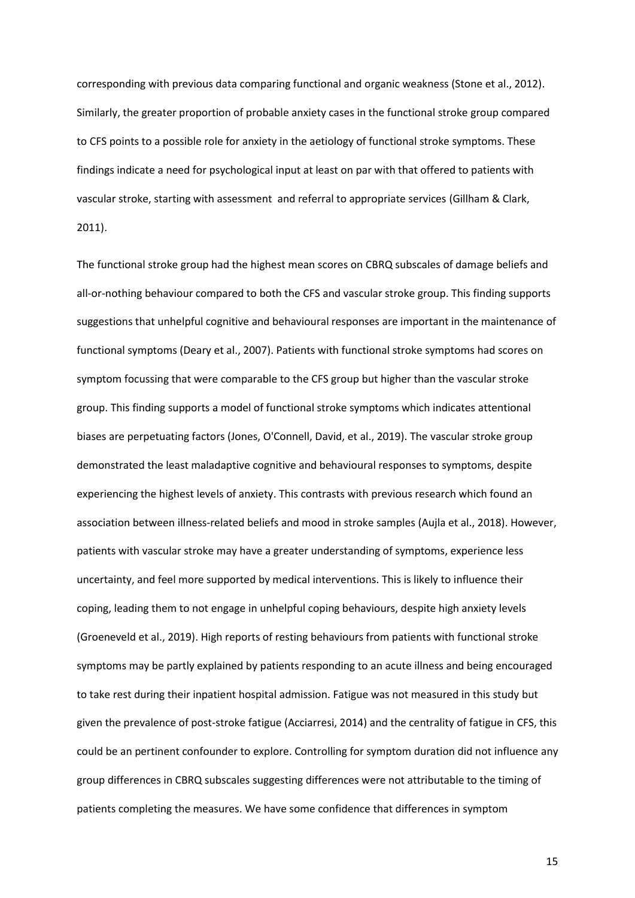corresponding with previous data comparing functional and organic weakness (Stone et al., 2012). Similarly, the greater proportion of probable anxiety cases in the functional stroke group compared to CFS points to a possible role for anxiety in the aetiology of functional stroke symptoms. These findings indicate a need for psychological input at least on par with that offered to patients with vascular stroke, starting with assessment and referral to appropriate services (Gillham & Clark, 2011).

The functional stroke group had the highest mean scores on CBRQ subscales of damage beliefs and all-or-nothing behaviour compared to both the CFS and vascular stroke group. This finding supports suggestions that unhelpful cognitive and behavioural responses are important in the maintenance of functional symptoms (Deary et al., 2007). Patients with functional stroke symptoms had scores on symptom focussing that were comparable to the CFS group but higher than the vascular stroke group. This finding supports a model of functional stroke symptoms which indicates attentional biases are perpetuating factors (Jones, O'Connell, David, et al., 2019). The vascular stroke group demonstrated the least maladaptive cognitive and behavioural responses to symptoms, despite experiencing the highest levels of anxiety. This contrasts with previous research which found an association between illness-related beliefs and mood in stroke samples (Aujla et al., 2018). However, patients with vascular stroke may have a greater understanding of symptoms, experience less uncertainty, and feel more supported by medical interventions. This is likely to influence their coping, leading them to not engage in unhelpful coping behaviours, despite high anxiety levels (Groeneveld et al., 2019). High reports of resting behaviours from patients with functional stroke symptoms may be partly explained by patients responding to an acute illness and being encouraged to take rest during their inpatient hospital admission. Fatigue was not measured in this study but given the prevalence of post-stroke fatigue (Acciarresi, 2014) and the centrality of fatigue in CFS, this could be an pertinent confounder to explore. Controlling for symptom duration did not influence any group differences in CBRQ subscales suggesting differences were not attributable to the timing of patients completing the measures. We have some confidence that differences in symptom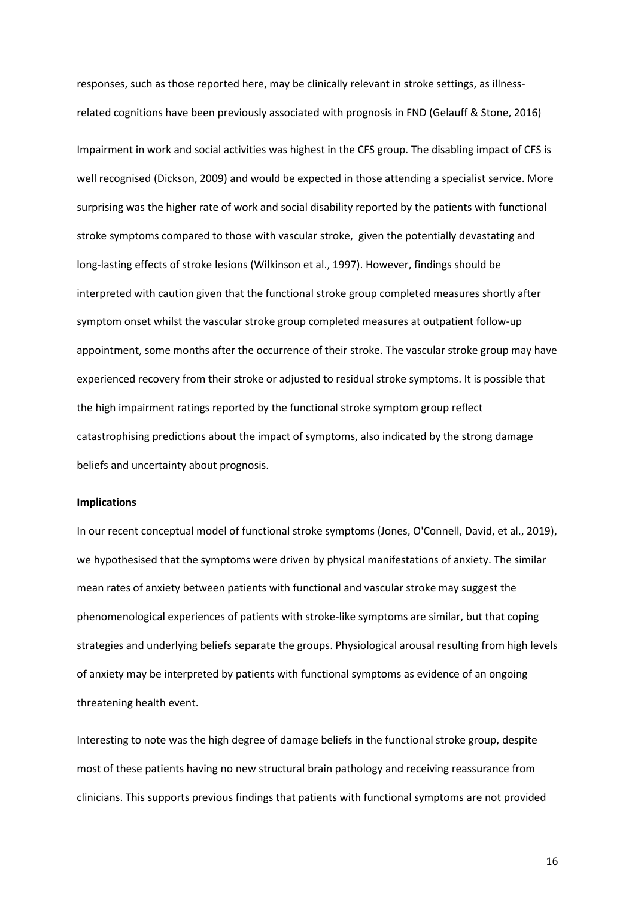responses, such as those reported here, may be clinically relevant in stroke settings, as illnessrelated cognitions have been previously associated with prognosis in FND (Gelauff & Stone, 2016)

Impairment in work and social activities was highest in the CFS group. The disabling impact of CFS is well recognised (Dickson, 2009) and would be expected in those attending a specialist service. More surprising was the higher rate of work and social disability reported by the patients with functional stroke symptoms compared to those with vascular stroke, given the potentially devastating and long-lasting effects of stroke lesions (Wilkinson et al., 1997). However, findings should be interpreted with caution given that the functional stroke group completed measures shortly after symptom onset whilst the vascular stroke group completed measures at outpatient follow-up appointment, some months after the occurrence of their stroke. The vascular stroke group may have experienced recovery from their stroke or adjusted to residual stroke symptoms. It is possible that the high impairment ratings reported by the functional stroke symptom group reflect catastrophising predictions about the impact of symptoms, also indicated by the strong damage beliefs and uncertainty about prognosis.

#### **Implications**

In our recent conceptual model of functional stroke symptoms (Jones, O'Connell, David, et al., 2019), we hypothesised that the symptoms were driven by physical manifestations of anxiety. The similar mean rates of anxiety between patients with functional and vascular stroke may suggest the phenomenological experiences of patients with stroke-like symptoms are similar, but that coping strategies and underlying beliefs separate the groups. Physiological arousal resulting from high levels of anxiety may be interpreted by patients with functional symptoms as evidence of an ongoing threatening health event.

Interesting to note was the high degree of damage beliefs in the functional stroke group, despite most of these patients having no new structural brain pathology and receiving reassurance from clinicians. This supports previous findings that patients with functional symptoms are not provided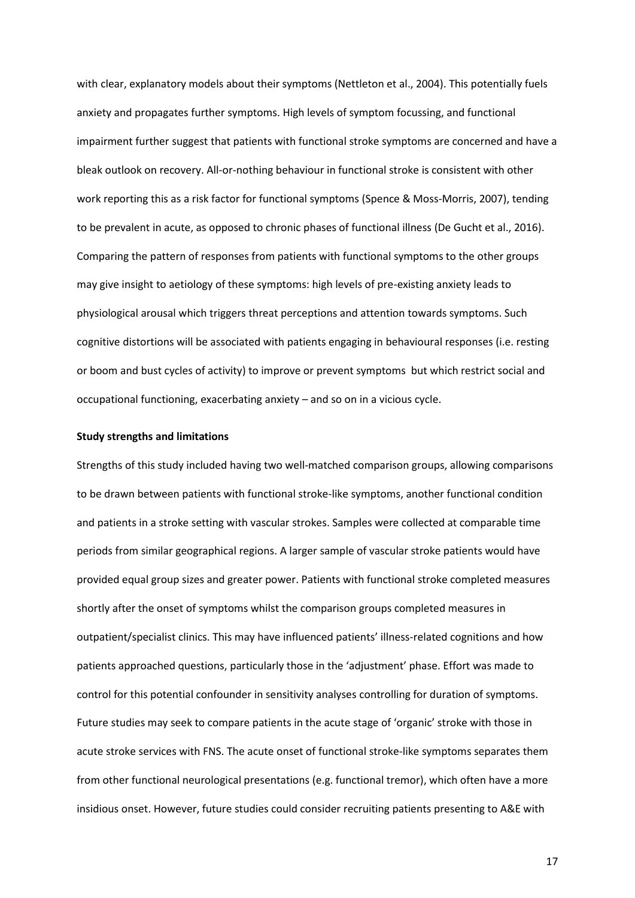with clear, explanatory models about their symptoms (Nettleton et al., 2004). This potentially fuels anxiety and propagates further symptoms. High levels of symptom focussing, and functional impairment further suggest that patients with functional stroke symptoms are concerned and have a bleak outlook on recovery. All-or-nothing behaviour in functional stroke is consistent with other work reporting this as a risk factor for functional symptoms (Spence & Moss-Morris, 2007), tending to be prevalent in acute, as opposed to chronic phases of functional illness (De Gucht et al., 2016). Comparing the pattern of responses from patients with functional symptoms to the other groups may give insight to aetiology of these symptoms: high levels of pre-existing anxiety leads to physiological arousal which triggers threat perceptions and attention towards symptoms. Such cognitive distortions will be associated with patients engaging in behavioural responses (i.e. resting or boom and bust cycles of activity) to improve or prevent symptoms but which restrict social and occupational functioning, exacerbating anxiety – and so on in a vicious cycle.

### **Study strengths and limitations**

Strengths of this study included having two well-matched comparison groups, allowing comparisons to be drawn between patients with functional stroke-like symptoms, another functional condition and patients in a stroke setting with vascular strokes. Samples were collected at comparable time periods from similar geographical regions. A larger sample of vascular stroke patients would have provided equal group sizes and greater power. Patients with functional stroke completed measures shortly after the onset of symptoms whilst the comparison groups completed measures in outpatient/specialist clinics. This may have influenced patients' illness-related cognitions and how patients approached questions, particularly those in the 'adjustment' phase. Effort was made to control for this potential confounder in sensitivity analyses controlling for duration of symptoms. Future studies may seek to compare patients in the acute stage of 'organic' stroke with those in acute stroke services with FNS. The acute onset of functional stroke-like symptoms separates them from other functional neurological presentations (e.g. functional tremor), which often have a more insidious onset. However, future studies could consider recruiting patients presenting to A&E with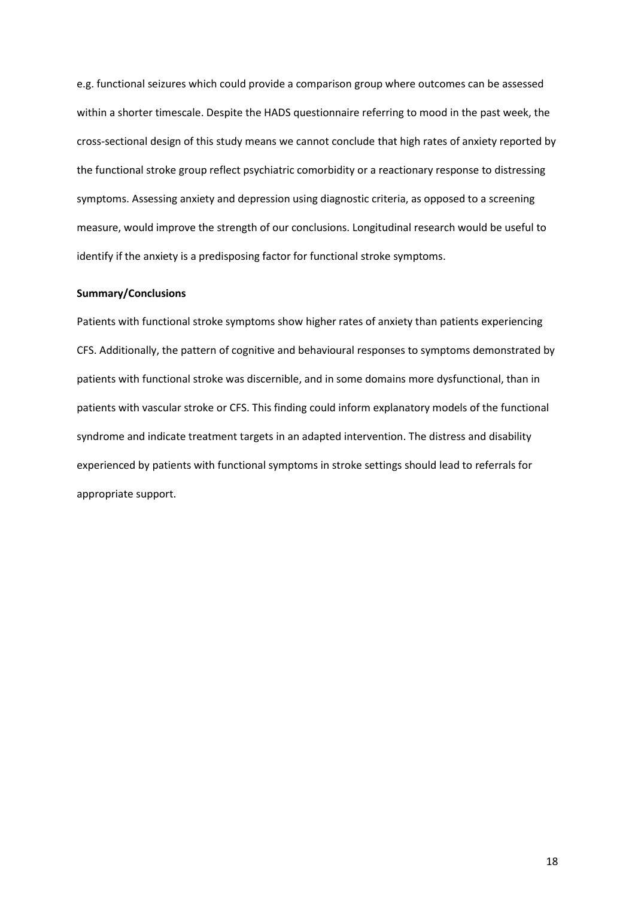e.g. functional seizures which could provide a comparison group where outcomes can be assessed within a shorter timescale. Despite the HADS questionnaire referring to mood in the past week, the cross-sectional design of this study means we cannot conclude that high rates of anxiety reported by the functional stroke group reflect psychiatric comorbidity or a reactionary response to distressing symptoms. Assessing anxiety and depression using diagnostic criteria, as opposed to a screening measure, would improve the strength of our conclusions. Longitudinal research would be useful to identify if the anxiety is a predisposing factor for functional stroke symptoms.

## **Summary/Conclusions**

Patients with functional stroke symptoms show higher rates of anxiety than patients experiencing CFS. Additionally, the pattern of cognitive and behavioural responses to symptoms demonstrated by patients with functional stroke was discernible, and in some domains more dysfunctional, than in patients with vascular stroke or CFS. This finding could inform explanatory models of the functional syndrome and indicate treatment targets in an adapted intervention. The distress and disability experienced by patients with functional symptoms in stroke settings should lead to referrals for appropriate support.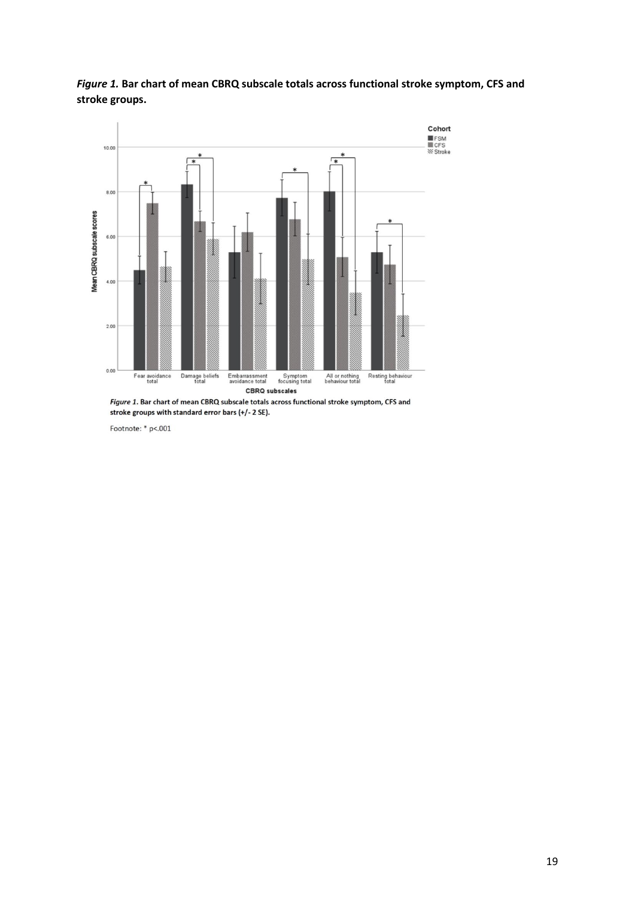

*Figure 1.* **Bar chart of mean CBRQ subscale totals across functional stroke symptom, CFS and stroke groups.**

Figure 1. Bar chart of mean CBRQ subscale totals across functional stroke symptom, CFS and stroke groups with standard error bars (+/-2 SE).

Footnote: \* p<.001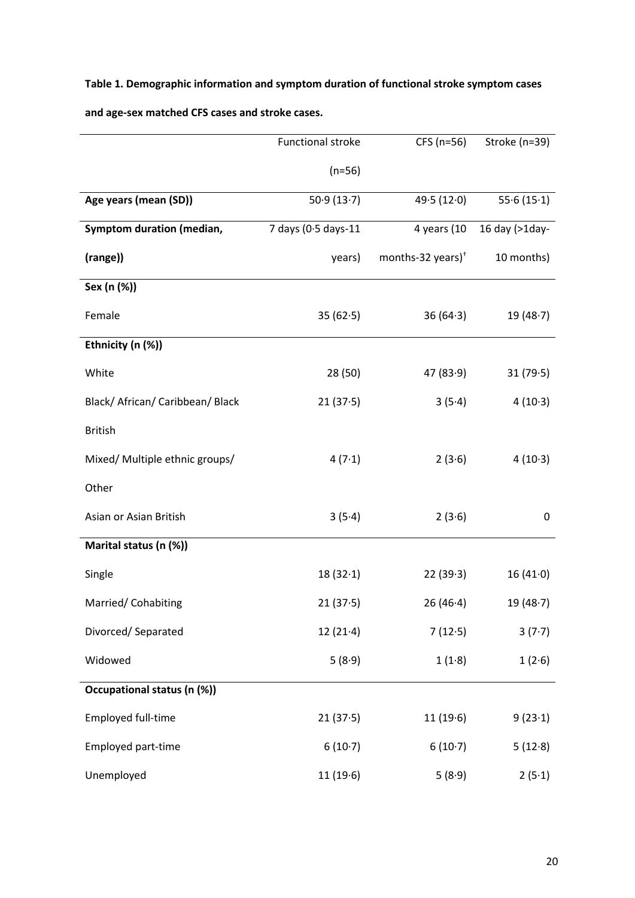# **Table 1. Demographic information and symptom duration of functional stroke symptom cases**

|                                  | <b>Functional stroke</b>                | CFS (n=56)  | Stroke (n=39)  |  |
|----------------------------------|-----------------------------------------|-------------|----------------|--|
|                                  | $(n=56)$                                |             |                |  |
| Age years (mean (SD))            | 50.9(13.7)                              | 49.5(12.0)  | 55.6(15.1)     |  |
| <b>Symptom duration (median,</b> | 7 days (0.5 days-11                     | 4 years (10 | 16 day (>1day- |  |
| (range))                         | months-32 years) <sup>+</sup><br>years) |             | 10 months)     |  |
| Sex (n (%))                      |                                         |             |                |  |
| Female                           | 35(62.5)                                | 36(64.3)    | 19(48.7)       |  |
| Ethnicity (n (%))                |                                         |             |                |  |
| White                            | 28 (50)                                 | 47(83.9)    | 31(79.5)       |  |
| Black/ African/ Caribbean/ Black | 21(37.5)                                | 3(5.4)      | 4(10.3)        |  |
| <b>British</b>                   |                                         |             |                |  |
| Mixed/ Multiple ethnic groups/   | 4(7.1)                                  | 2(3.6)      | 4(10.3)        |  |
| Other                            |                                         |             |                |  |
| Asian or Asian British           | 3(5.4)                                  | 2(3.6)      | $\pmb{0}$      |  |
| Marital status (n (%))           |                                         |             |                |  |
| Single                           | 18(32.1)                                | 22(39.3)    | 16(41.0)       |  |
| Married/ Cohabiting              | 21(37.5)                                | 26(46.4)    | 19(48.7)       |  |
| Divorced/Separated               | 12(21.4)                                | 7(12.5)     | 3(7.7)         |  |
| Widowed                          | 5(8.9)                                  | 1(1.8)      | 1(2.6)         |  |
| Occupational status (n (%))      |                                         |             |                |  |
| Employed full-time               | 21(37.5)                                | 11(19.6)    | 9(23.1)        |  |
| Employed part-time               | 6(10.7)                                 | 6(10.7)     | 5(12.8)        |  |
| Unemployed                       | 11(19.6)                                | 5(8.9)      | 2(5.1)         |  |

**and age-sex matched CFS cases and stroke cases.**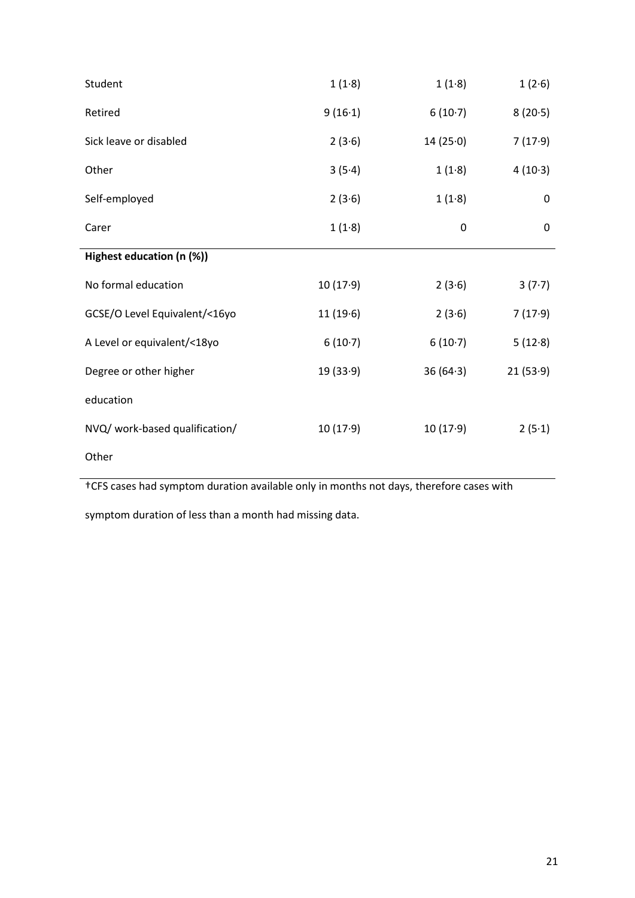| Student                        | 1(1.8)   | 1(1.8)   | 1(2.6)   |
|--------------------------------|----------|----------|----------|
| Retired                        | 9(16.1)  | 6(10.7)  | 8(20.5)  |
| Sick leave or disabled         | 2(3.6)   | 14(25.0) | 7(17.9)  |
| Other                          | 3(5.4)   | 1(1.8)   | 4(10.3)  |
| Self-employed                  | 2(3.6)   | 1(1.8)   | 0        |
| Carer                          | 1(1.8)   | 0        | 0        |
| Highest education (n (%))      |          |          |          |
| No formal education            | 10(17.9) | 2(3.6)   | 3(7.7)   |
| GCSE/O Level Equivalent/<16yo  | 11(19.6) | 2(3.6)   | 7(17.9)  |
| A Level or equivalent/<18yo    | 6(10.7)  | 6(10.7)  | 5(12.8)  |
| Degree or other higher         | 19(33.9) | 36(64.3) | 21(53.9) |
| education                      |          |          |          |
| NVQ/ work-based qualification/ | 10(17.9) | 10(17.9) | 2(5.1)   |
| Other                          |          |          |          |

†CFS cases had symptom duration available only in months not days, therefore cases with

symptom duration of less than a month had missing data.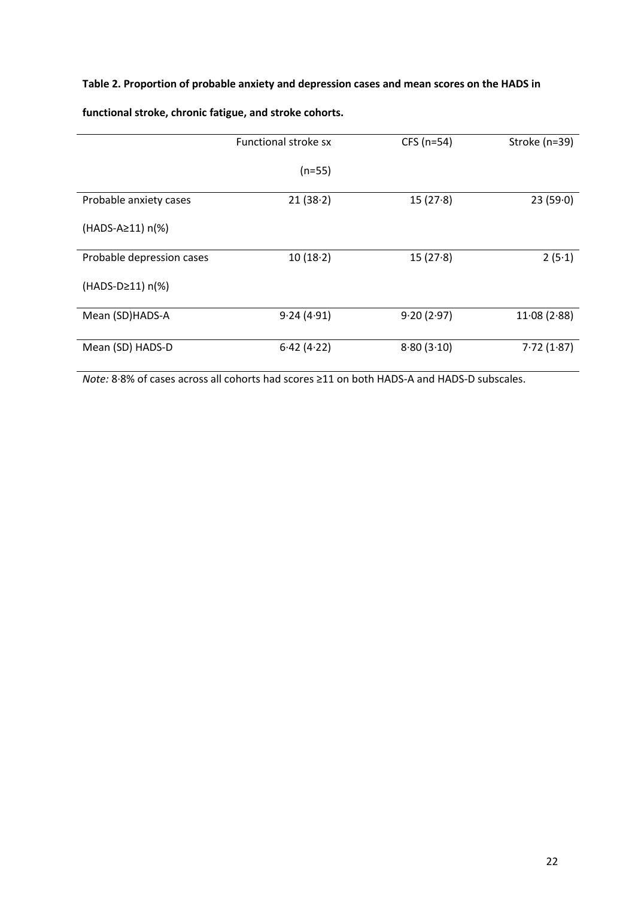# **Table 2. Proportion of probable anxiety and depression cases and mean scores on the HADS in**

|                           | Functional stroke sx | $CFS(n=54)$ | Stroke (n=39) |
|---------------------------|----------------------|-------------|---------------|
|                           | $(n=55)$             |             |               |
| Probable anxiety cases    | 21(38.2)             | 15(27.8)    | 23(59.0)      |
| (HADS-A≥11) n(%)          |                      |             |               |
| Probable depression cases | 10(18.2)             | 15(27.8)    | 2(5.1)        |
| $(HADS-D>11) n(\%)$       |                      |             |               |
| Mean (SD)HADS-A           | 9.24(4.91)           | 9.20(2.97)  | 11.08(2.88)   |
| Mean (SD) HADS-D          | 6.42(4.22)           | 8.80(3.10)  | 7.72(1.87)    |

**functional stroke, chronic fatigue, and stroke cohorts.**

*Note:* 8∙8% of cases across all cohorts had scores ≥11 on both HADS-A and HADS-D subscales.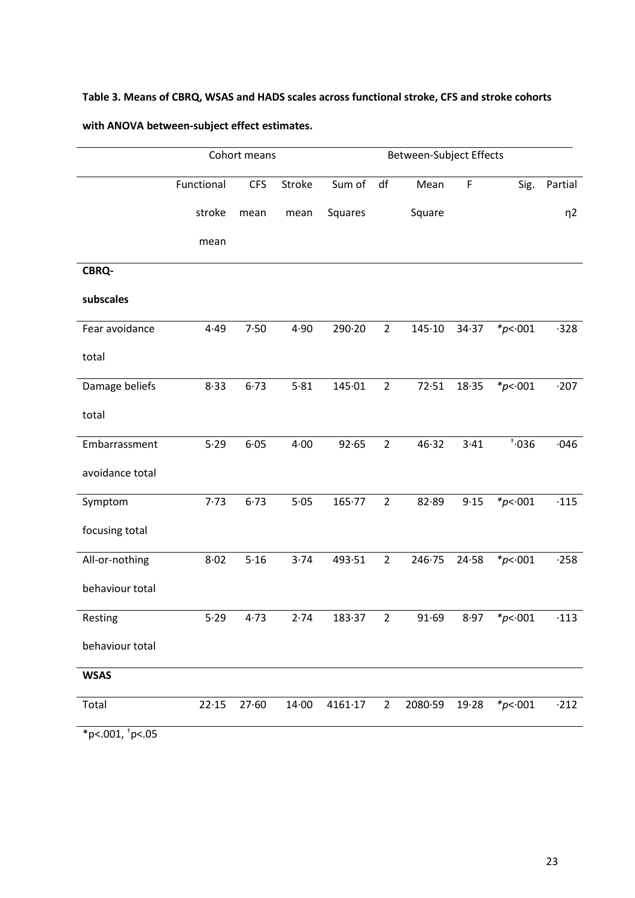# **Table 3. Means of CBRQ, WSAS and HADS scales across functional stroke, CFS and stroke cohorts**

# **with ANOVA between-subject effect estimates.**

|                      | Cohort means |            |        |         | Between-Subject Effects |         |             |             |             |
|----------------------|--------------|------------|--------|---------|-------------------------|---------|-------------|-------------|-------------|
|                      | Functional   | <b>CFS</b> | Stroke | Sum of  | df                      | Mean    | $\mathsf F$ | Sig.        | Partial     |
|                      | stroke       | mean       | mean   | Squares |                         | Square  |             |             | $\eta$ 2    |
|                      | mean         |            |        |         |                         |         |             |             |             |
| <b>CBRQ-</b>         |              |            |        |         |                         |         |             |             |             |
| subscales            |              |            |        |         |                         |         |             |             |             |
| Fear avoidance       | 4.49         | 7.50       | 4.90   | 290.20  | $\overline{2}$          | 145.10  | 34.37       | * $p$ < 001 | $-328$      |
| total                |              |            |        |         |                         |         |             |             |             |
| Damage beliefs       | 8.33         | 6.73       | 5.81   | 145.01  | $\overline{2}$          | 72.51   | 18.35       | * $p$ < 001 | $-207$      |
| total                |              |            |        |         |                         |         |             |             |             |
| Embarrassment        | 5.29         | 6.05       | 4.00   | 92.65   | $\overline{2}$          | 46.32   | 3.41        | $\dots$     | $-046$      |
| avoidance total      |              |            |        |         |                         |         |             |             |             |
| Symptom              | 7.73         | 6.73       | $5.05$ | 165.77  | $\overline{2}$          | 82.89   | 9.15        | * $p$ < 001 | $\cdot$ 115 |
| focusing total       |              |            |        |         |                         |         |             |             |             |
| All-or-nothing       | 8.02         | 5.16       | 3.74   | 493.51  | $\overline{2}$          | 246.75  | 24.58       | * $p$ < 001 | $-258$      |
| behaviour total      |              |            |        |         |                         |         |             |             |             |
| Resting              | 5.29         | 4.73       | 2.74   | 183.37  | $\overline{2}$          | 91.69   | 8.97        | * $p$ < 001 | $\cdot$ 113 |
| behaviour total      |              |            |        |         |                         |         |             |             |             |
| <b>WSAS</b>          |              |            |        |         |                         |         |             |             |             |
| Total                | 22.15        | 27.60      | 14.00  | 4161.17 | $\overline{2}$          | 2080.59 | 19.28       | * $p$ < 001 | $-212$      |
| *p <. 001, $p$ <. 05 |              |            |        |         |                         |         |             |             |             |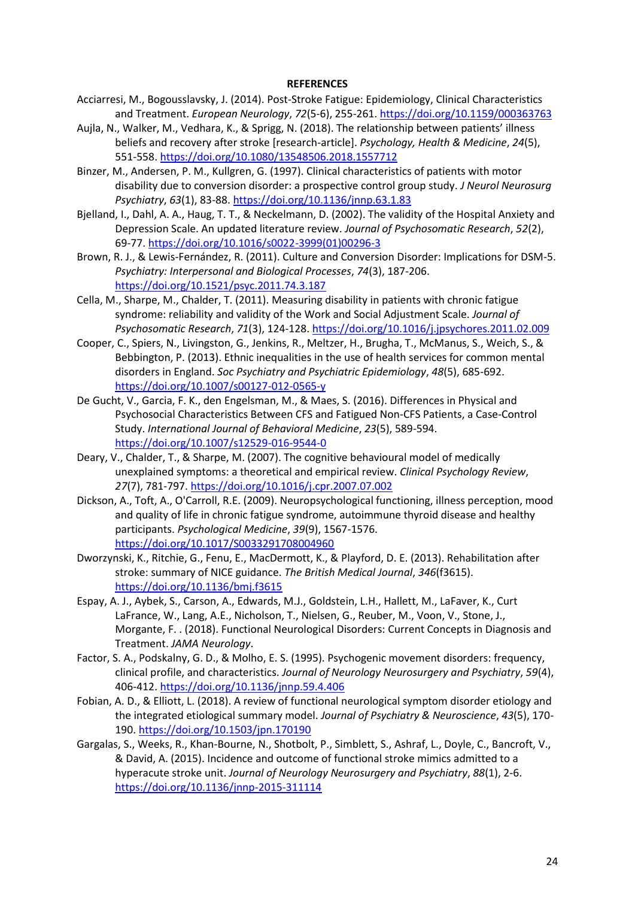#### **REFERENCES**

- Acciarresi, M., Bogousslavsky, J. (2014). Post-Stroke Fatigue: Epidemiology, Clinical Characteristics and Treatment. *European Neurology*, *72*(5-6), 255-261.<https://doi.org/10.1159/000363763>
- Aujla, N., Walker, M., Vedhara, K., & Sprigg, N. (2018). The relationship between patients' illness beliefs and recovery after stroke [research-article]. *Psychology, Health & Medicine*, *24*(5), 551-558.<https://doi.org/10.1080/13548506.2018.1557712>
- Binzer, M., Andersen, P. M., Kullgren, G. (1997). Clinical characteristics of patients with motor disability due to conversion disorder: a prospective control group study. *J Neurol Neurosurg Psychiatry*, *63*(1), 83-88[. https://doi.org/10.1136/jnnp.63.1.83](https://doi.org/10.1136/jnnp.63.1.83)
- Bjelland, I., Dahl, A. A., Haug, T. T., & Neckelmann, D. (2002). The validity of the Hospital Anxiety and Depression Scale. An updated literature review. *Journal of Psychosomatic Research*, *52*(2), 69-77. [https://doi.org/10.1016/s0022-3999\(01\)00296-3](https://doi.org/10.1016/s0022-3999(01)00296-3)
- Brown, R. J., & Lewis-Fernández, R. (2011). Culture and Conversion Disorder: Implications for DSM-5. *Psychiatry: Interpersonal and Biological Processes*, *74*(3), 187-206. <https://doi.org/10.1521/psyc.2011.74.3.187>
- Cella, M., Sharpe, M., Chalder, T. (2011). Measuring disability in patients with chronic fatigue syndrome: reliability and validity of the Work and Social Adjustment Scale. *Journal of Psychosomatic Research*, *71*(3), 124-128[. https://doi.org/10.1016/j.jpsychores.2011.02.009](https://doi.org/10.1016/j.jpsychores.2011.02.009)
- Cooper, C., Spiers, N., Livingston, G., Jenkins, R., Meltzer, H., Brugha, T., McManus, S., Weich, S., & Bebbington, P. (2013). Ethnic inequalities in the use of health services for common mental disorders in England. *Soc Psychiatry and Psychiatric Epidemiology*, *48*(5), 685-692. <https://doi.org/10.1007/s00127-012-0565-y>
- De Gucht, V., Garcia, F. K., den Engelsman, M., & Maes, S. (2016). Differences in Physical and Psychosocial Characteristics Between CFS and Fatigued Non-CFS Patients, a Case-Control Study. *International Journal of Behavioral Medicine*, *23*(5), 589-594. <https://doi.org/10.1007/s12529-016-9544-0>
- Deary, V., Chalder, T., & Sharpe, M. (2007). The cognitive behavioural model of medically unexplained symptoms: a theoretical and empirical review. *Clinical Psychology Review*, *27*(7), 781-797[. https://doi.org/10.1016/j.cpr.2007.07.002](https://doi.org/10.1016/j.cpr.2007.07.002)
- Dickson, A., Toft, A., O'Carroll, R.E. (2009). Neuropsychological functioning, illness perception, mood and quality of life in chronic fatigue syndrome, autoimmune thyroid disease and healthy participants. *Psychological Medicine*, *39*(9), 1567-1576. <https://doi.org/10.1017/S0033291708004960>
- Dworzynski, K., Ritchie, G., Fenu, E., MacDermott, K., & Playford, D. E. (2013). Rehabilitation after stroke: summary of NICE guidance. *The British Medical Journal*, *346*(f3615). <https://doi.org/10.1136/bmj.f3615>
- Espay, A. J., Aybek, S., Carson, A., Edwards, M.J., Goldstein, L.H., Hallett, M., LaFaver, K., Curt LaFrance, W., Lang, A.E., Nicholson, T., Nielsen, G., Reuber, M., Voon, V., Stone, J., Morgante, F. . (2018). Functional Neurological Disorders: Current Concepts in Diagnosis and Treatment. *JAMA Neurology*.
- Factor, S. A., Podskalny, G. D., & Molho, E. S. (1995). Psychogenic movement disorders: frequency, clinical profile, and characteristics. *Journal of Neurology Neurosurgery and Psychiatry*, *59*(4), 406-412.<https://doi.org/10.1136/jnnp.59.4.406>
- Fobian, A. D., & Elliott, L. (2018). A review of functional neurological symptom disorder etiology and the integrated etiological summary model. *Journal of Psychiatry & Neuroscience*, *43*(5), 170- 190.<https://doi.org/10.1503/jpn.170190>
- Gargalas, S., Weeks, R., Khan-Bourne, N., Shotbolt, P., Simblett, S., Ashraf, L., Doyle, C., Bancroft, V., & David, A. (2015). Incidence and outcome of functional stroke mimics admitted to a hyperacute stroke unit. *Journal of Neurology Neurosurgery and Psychiatry*, *88*(1), 2-6. <https://doi.org/10.1136/jnnp-2015-311114>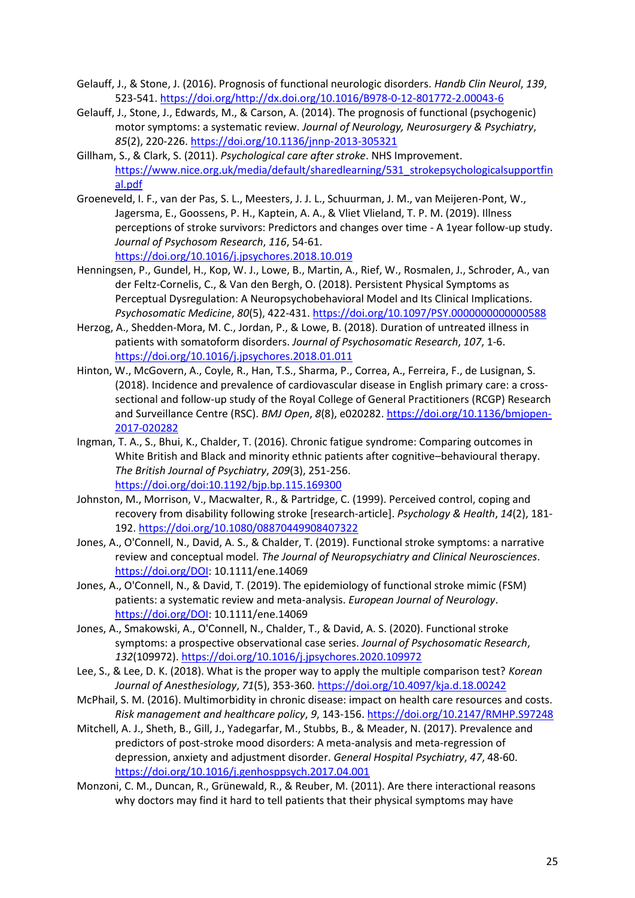- Gelauff, J., & Stone, J. (2016). Prognosis of functional neurologic disorders. *Handb Clin Neurol*, *139*, 523-541. [https://doi.org/http://dx.doi.org/10.1016/B978-0-12-801772-2.00043-6](https://doi.org/http:/dx.doi.org/10.1016/B978-0-12-801772-2.00043-6)
- Gelauff, J., Stone, J., Edwards, M., & Carson, A. (2014). The prognosis of functional (psychogenic) motor symptoms: a systematic review. *Journal of Neurology, Neurosurgery & Psychiatry*, *85*(2), 220-226[. https://doi.org/10.1136/jnnp-2013-305321](https://doi.org/10.1136/jnnp-2013-305321)
- Gillham, S., & Clark, S. (2011). *Psychological care after stroke*. NHS Improvement. [https://www.nice.org.uk/media/default/sharedlearning/531\\_strokepsychologicalsupportfin](https://www.nice.org.uk/media/default/sharedlearning/531_strokepsychologicalsupportfinal.pdf) [al.pdf](https://www.nice.org.uk/media/default/sharedlearning/531_strokepsychologicalsupportfinal.pdf)
- Groeneveld, I. F., van der Pas, S. L., Meesters, J. J. L., Schuurman, J. M., van Meijeren-Pont, W., Jagersma, E., Goossens, P. H., Kaptein, A. A., & Vliet Vlieland, T. P. M. (2019). Illness perceptions of stroke survivors: Predictors and changes over time - A 1year follow-up study. *Journal of Psychosom Research*, *116*, 54-61. <https://doi.org/10.1016/j.jpsychores.2018.10.019>
- Henningsen, P., Gundel, H., Kop, W. J., Lowe, B., Martin, A., Rief, W., Rosmalen, J., Schroder, A., van der Feltz-Cornelis, C., & Van den Bergh, O. (2018). Persistent Physical Symptoms as Perceptual Dysregulation: A Neuropsychobehavioral Model and Its Clinical Implications. *Psychosomatic Medicine*, *80*(5), 422-431.<https://doi.org/10.1097/PSY.0000000000000588>
- Herzog, A., Shedden-Mora, M. C., Jordan, P., & Lowe, B. (2018). Duration of untreated illness in patients with somatoform disorders. *Journal of Psychosomatic Research*, *107*, 1-6. <https://doi.org/10.1016/j.jpsychores.2018.01.011>
- Hinton, W., McGovern, A., Coyle, R., Han, T.S., Sharma, P., Correa, A., Ferreira, F., de Lusignan, S. (2018). Incidence and prevalence of cardiovascular disease in English primary care: a crosssectional and follow-up study of the Royal College of General Practitioners (RCGP) Research and Surveillance Centre (RSC). *BMJ Open*, *8*(8), e020282[. https://doi.org/10.1136/bmjopen-](https://doi.org/10.1136/bmjopen-2017-020282)[2017-020282](https://doi.org/10.1136/bmjopen-2017-020282)
- Ingman, T. A., S., Bhui, K., Chalder, T. (2016). Chronic fatigue syndrome: Comparing outcomes in White British and Black and minority ethnic patients after cognitive–behavioural therapy. *The British Journal of Psychiatry*, *209*(3), 251-256. <https://doi.org/doi:10.1192/bjp.bp.115.169300>
- Johnston, M., Morrison, V., Macwalter, R., & Partridge, C. (1999). Perceived control, coping and recovery from disability following stroke [research-article]. *Psychology & Health*, *14*(2), 181- 192.<https://doi.org/10.1080/08870449908407322>
- Jones, A., O'Connell, N., David, A. S., & Chalder, T. (2019). Functional stroke symptoms: a narrative review and conceptual model. *The Journal of Neuropsychiatry and Clinical Neurosciences*. [https://doi.org/DOI:](https://doi.org/DOI) 10.1111/ene.14069
- Jones, A., O'Connell, N., & David, T. (2019). The epidemiology of functional stroke mimic (FSM) patients: a systematic review and meta-analysis. *European Journal of Neurology*. [https://doi.org/DOI:](https://doi.org/DOI) 10.1111/ene.14069
- Jones, A., Smakowski, A., O'Connell, N., Chalder, T., & David, A. S. (2020). Functional stroke symptoms: a prospective observational case series. *Journal of Psychosomatic Research*, *132*(109972).<https://doi.org/10.1016/j.jpsychores.2020.109972>
- Lee, S., & Lee, D. K. (2018). What is the proper way to apply the multiple comparison test? *Korean Journal of Anesthesiology*, *71*(5), 353-360[. https://doi.org/10.4097/kja.d.18.00242](https://doi.org/10.4097/kja.d.18.00242)
- McPhail, S. M. (2016). Multimorbidity in chronic disease: impact on health care resources and costs. *Risk management and healthcare policy*, *9*, 143-156.<https://doi.org/10.2147/RMHP.S97248>
- Mitchell, A. J., Sheth, B., Gill, J., Yadegarfar, M., Stubbs, B., & Meader, N. (2017). Prevalence and predictors of post-stroke mood disorders: A meta-analysis and meta-regression of depression, anxiety and adjustment disorder. *General Hospital Psychiatry*, *47*, 48-60. <https://doi.org/10.1016/j.genhosppsych.2017.04.001>
- Monzoni, C. M., Duncan, R., Grünewald, R., & Reuber, M. (2011). Are there interactional reasons why doctors may find it hard to tell patients that their physical symptoms may have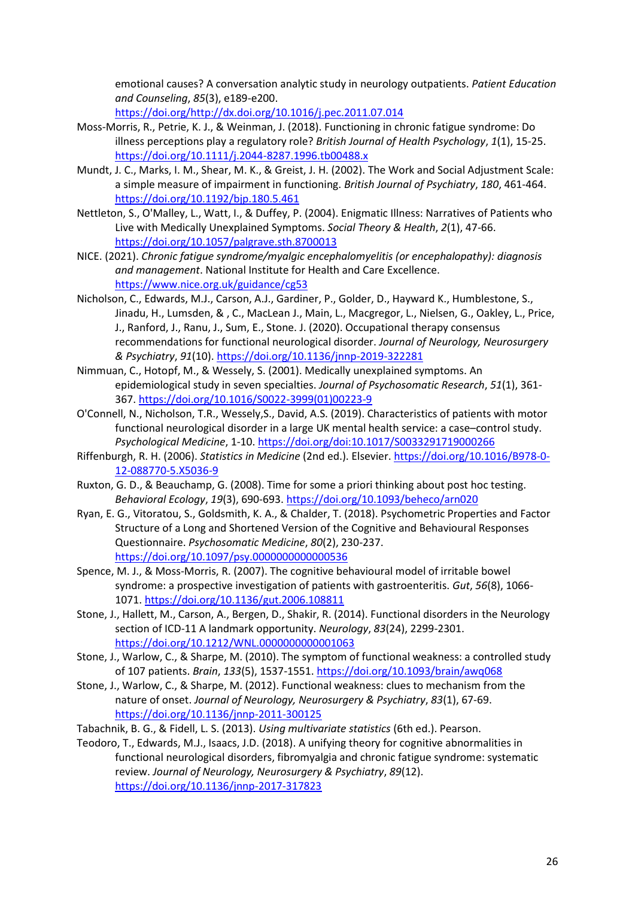emotional causes? A conversation analytic study in neurology outpatients. *Patient Education and Counseling*, *85*(3), e189-e200.

[https://doi.org/http://dx.doi.org/10.1016/j.pec.2011.07.014](https://doi.org/http:/dx.doi.org/10.1016/j.pec.2011.07.014)

- Moss-Morris, R., Petrie, K. J., & Weinman, J. (2018). Functioning in chronic fatigue syndrome: Do illness perceptions play a regulatory role? *British Journal of Health Psychology*, *1*(1), 15-25. <https://doi.org/10.1111/j.2044-8287.1996.tb00488.x>
- Mundt, J. C., Marks, I. M., Shear, M. K., & Greist, J. H. (2002). The Work and Social Adjustment Scale: a simple measure of impairment in functioning. *British Journal of Psychiatry*, *180*, 461-464. <https://doi.org/10.1192/bjp.180.5.461>
- Nettleton, S., O'Malley, L., Watt, I., & Duffey, P. (2004). Enigmatic Illness: Narratives of Patients who Live with Medically Unexplained Symptoms. *Social Theory & Health*, *2*(1), 47-66. <https://doi.org/10.1057/palgrave.sth.8700013>
- NICE. (2021). *Chronic fatigue syndrome/myalgic encephalomyelitis (or encephalopathy): diagnosis and management*. National Institute for Health and Care Excellence. <https://www.nice.org.uk/guidance/cg53>
- Nicholson, C., Edwards, M.J., Carson, A.J., Gardiner, P., Golder, D., Hayward K., Humblestone, S., Jinadu, H., Lumsden, & , C., MacLean J., Main, L., Macgregor, L., Nielsen, G., Oakley, L., Price, J., Ranford, J., Ranu, J., Sum, E., Stone. J. (2020). Occupational therapy consensus recommendations for functional neurological disorder. *Journal of Neurology, Neurosurgery & Psychiatry*, *91*(10).<https://doi.org/10.1136/jnnp-2019-322281>
- Nimmuan, C., Hotopf, M., & Wessely, S. (2001). Medically unexplained symptoms. An epidemiological study in seven specialties. *Journal of Psychosomatic Research*, *51*(1), 361- 367. [https://doi.org/10.1016/S0022-3999\(01\)00223-9](https://doi.org/10.1016/S0022-3999(01)00223-9)
- O'Connell, N., Nicholson, T.R., Wessely,S., David, A.S. (2019). Characteristics of patients with motor functional neurological disorder in a large UK mental health service: a case–control study. *Psychological Medicine*, 1-10.<https://doi.org/doi:10.1017/S0033291719000266>
- Riffenburgh, R. H. (2006). *Statistics in Medicine* (2nd ed.). Elsevier[. https://doi.org/10.1016/B978-0-](https://doi.org/10.1016/B978-0-12-088770-5.X5036-9) [12-088770-5.X5036-9](https://doi.org/10.1016/B978-0-12-088770-5.X5036-9)
- Ruxton, G. D., & Beauchamp, G. (2008). Time for some a priori thinking about post hoc testing. *Behavioral Ecology*, *19*(3), 690-693[. https://doi.org/10.1093/beheco/arn020](https://doi.org/10.1093/beheco/arn020)
- Ryan, E. G., Vitoratou, S., Goldsmith, K. A., & Chalder, T. (2018). Psychometric Properties and Factor Structure of a Long and Shortened Version of the Cognitive and Behavioural Responses Questionnaire. *Psychosomatic Medicine*, *80*(2), 230-237. <https://doi.org/10.1097/psy.0000000000000536>
- Spence, M. J., & Moss-Morris, R. (2007). The cognitive behavioural model of irritable bowel syndrome: a prospective investigation of patients with gastroenteritis. *Gut*, *56*(8), 1066- 1071[. https://doi.org/10.1136/gut.2006.108811](https://doi.org/10.1136/gut.2006.108811)
- Stone, J., Hallett, M., Carson, A., Bergen, D., Shakir, R. (2014). Functional disorders in the Neurology section of ICD-11 A landmark opportunity. *Neurology*, *83*(24), 2299-2301. <https://doi.org/10.1212/WNL.0000000000001063>
- Stone, J., Warlow, C., & Sharpe, M. (2010). The symptom of functional weakness: a controlled study of 107 patients. *Brain*, *133*(5), 1537-1551.<https://doi.org/10.1093/brain/awq068>
- Stone, J., Warlow, C., & Sharpe, M. (2012). Functional weakness: clues to mechanism from the nature of onset. *Journal of Neurology, Neurosurgery & Psychiatry*, *83*(1), 67-69. <https://doi.org/10.1136/jnnp-2011-300125>
- Tabachnik, B. G., & Fidell, L. S. (2013). *Using multivariate statistics* (6th ed.). Pearson.
- Teodoro, T., Edwards, M.J., Isaacs, J.D. (2018). A unifying theory for cognitive abnormalities in functional neurological disorders, fibromyalgia and chronic fatigue syndrome: systematic review. *Journal of Neurology, Neurosurgery & Psychiatry*, *89*(12). <https://doi.org/10.1136/jnnp-2017-317823>